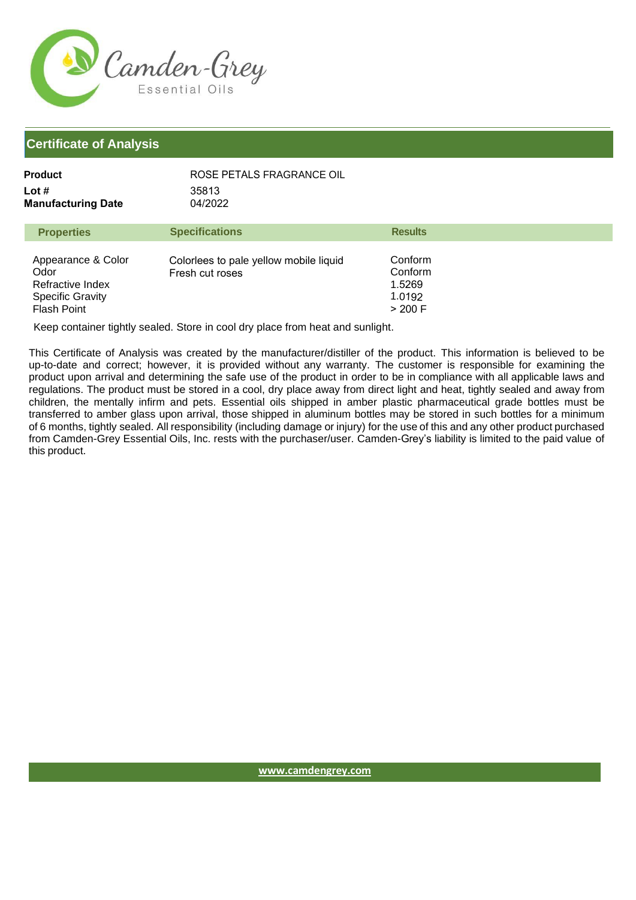

| Product                   | ROSE PETALS FRAGRANCE OIL |
|---------------------------|---------------------------|
| Lot #                     | 35813                     |
| <b>Manufacturing Date</b> | 04/2022                   |

| <b>Properties</b>                                                                               | <b>Specifications</b>                                     | <b>Results</b>                                    |
|-------------------------------------------------------------------------------------------------|-----------------------------------------------------------|---------------------------------------------------|
| Appearance & Color<br>Odor<br>Refractive Index<br><b>Specific Gravity</b><br><b>Flash Point</b> | Colorlees to pale yellow mobile liquid<br>Fresh cut roses | Conform<br>Conform<br>1.5269<br>1.0192<br>> 200 F |

Keep container tightly sealed. Store in cool dry place from heat and sunlight.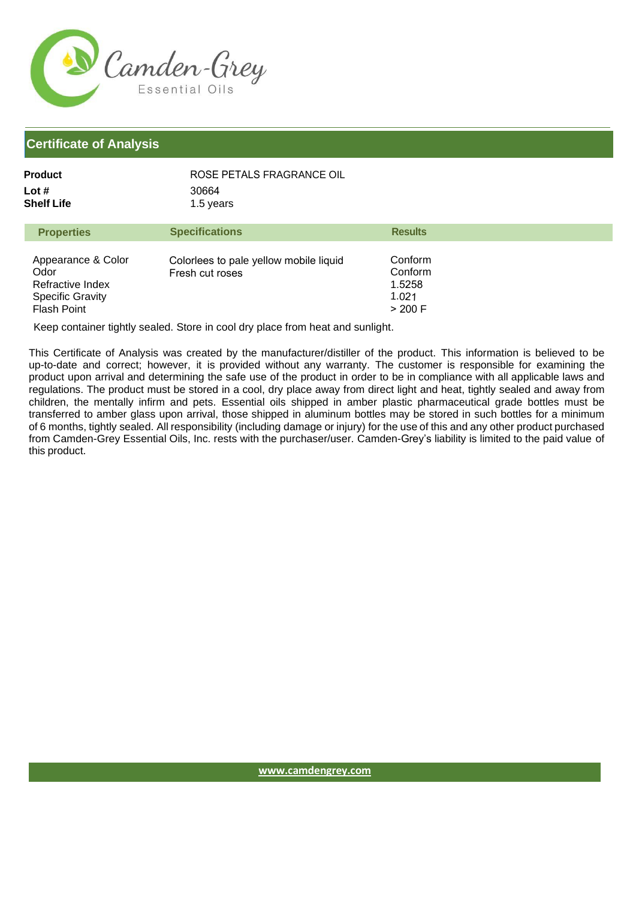

| Product             | ROSE PETALS FRAGRANCE OIL |                |
|---------------------|---------------------------|----------------|
| Lot #<br>Shelf Life | 30664<br>1.5 years        |                |
| <b>Properties</b>   | <b>Specifications</b>     | <b>Results</b> |

| Appearance & Color<br>Odor<br>Refractive Index<br><b>Specific Gravity</b><br>Flash Point | Colorlees to pale yellow mobile liquid<br>Fresh cut roses | Conform<br>Conform<br>1.5258<br>1.021<br>> 200 F |
|------------------------------------------------------------------------------------------|-----------------------------------------------------------|--------------------------------------------------|
|------------------------------------------------------------------------------------------|-----------------------------------------------------------|--------------------------------------------------|

Keep container tightly sealed. Store in cool dry place from heat and sunlight.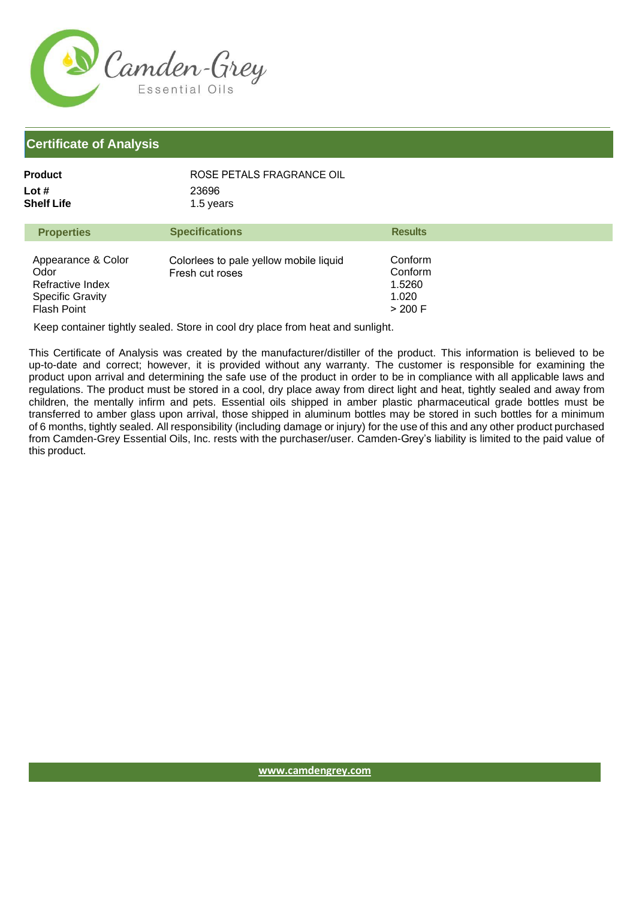

| Product    | ROSE PETALS FRAGRANCE OIL |
|------------|---------------------------|
| Lot #      | 23696                     |
| Shelf Life | 1.5 years                 |

| <b>Properties</b>                                                                               | <b>Specifications</b>                                     | <b>Results</b>                                   |
|-------------------------------------------------------------------------------------------------|-----------------------------------------------------------|--------------------------------------------------|
| Appearance & Color<br>Odor<br>Refractive Index<br><b>Specific Gravity</b><br><b>Flash Point</b> | Colorlees to pale yellow mobile liquid<br>Fresh cut roses | Conform<br>Conform<br>1.5260<br>1.020<br>> 200 F |

Keep container tightly sealed. Store in cool dry place from heat and sunlight.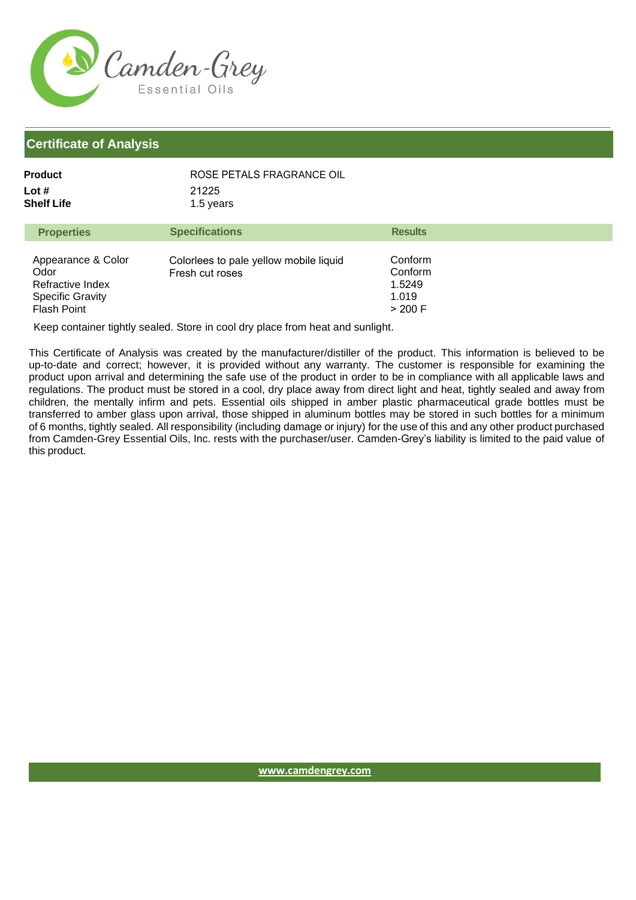

| Product             | ROSE PETALS FRAGRANCE OIL |
|---------------------|---------------------------|
| Lot #<br>Shelf Life | 21225<br>1.5 years        |
|                     |                           |

| <b>Properties</b>                                                                        | <b>Specifications</b>                                     | <b>Results</b>                                   |
|------------------------------------------------------------------------------------------|-----------------------------------------------------------|--------------------------------------------------|
| Appearance & Color<br>Odor<br>Refractive Index<br><b>Specific Gravity</b><br>Flash Point | Colorlees to pale yellow mobile liquid<br>Fresh cut roses | Conform<br>Conform<br>1.5249<br>1.019<br>> 200 F |

Keep container tightly sealed. Store in cool dry place from heat and sunlight.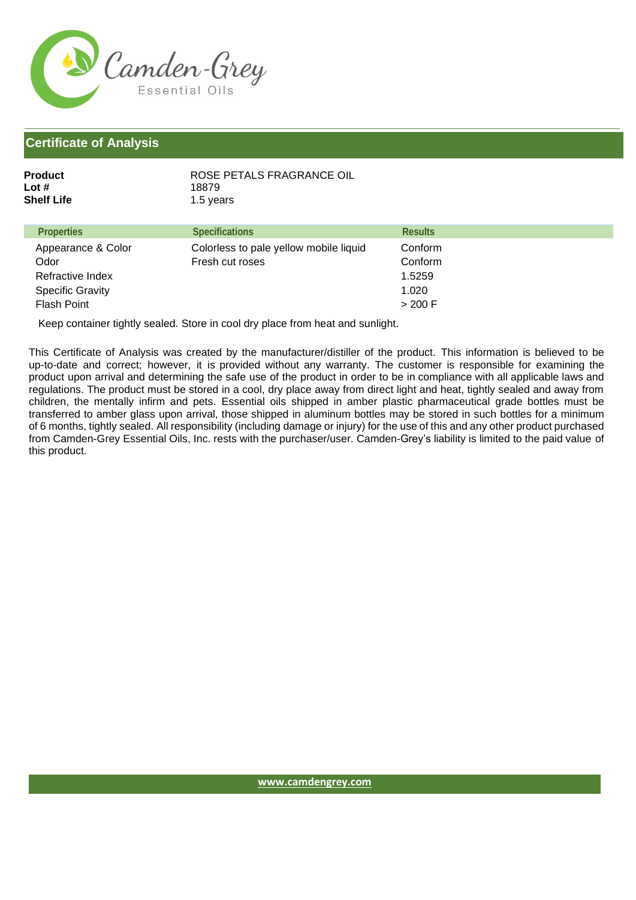

| Product    | ROSE PETALS FRAGRANCE OIL |
|------------|---------------------------|
| Lot #      | 18879                     |
| Shelf Life | 1.5 years                 |

| <b>Properties</b>       | <b>Specifications</b>                  | <b>Results</b> |
|-------------------------|----------------------------------------|----------------|
| Appearance & Color      | Colorless to pale yellow mobile liquid | Conform        |
| Odor                    | Fresh cut roses                        | Conform        |
| Refractive Index        |                                        | 1.5259         |
| <b>Specific Gravity</b> |                                        | 1.020          |
| <b>Flash Point</b>      |                                        | > 200 F        |

Keep container tightly sealed. Store in cool dry place from heat and sunlight.